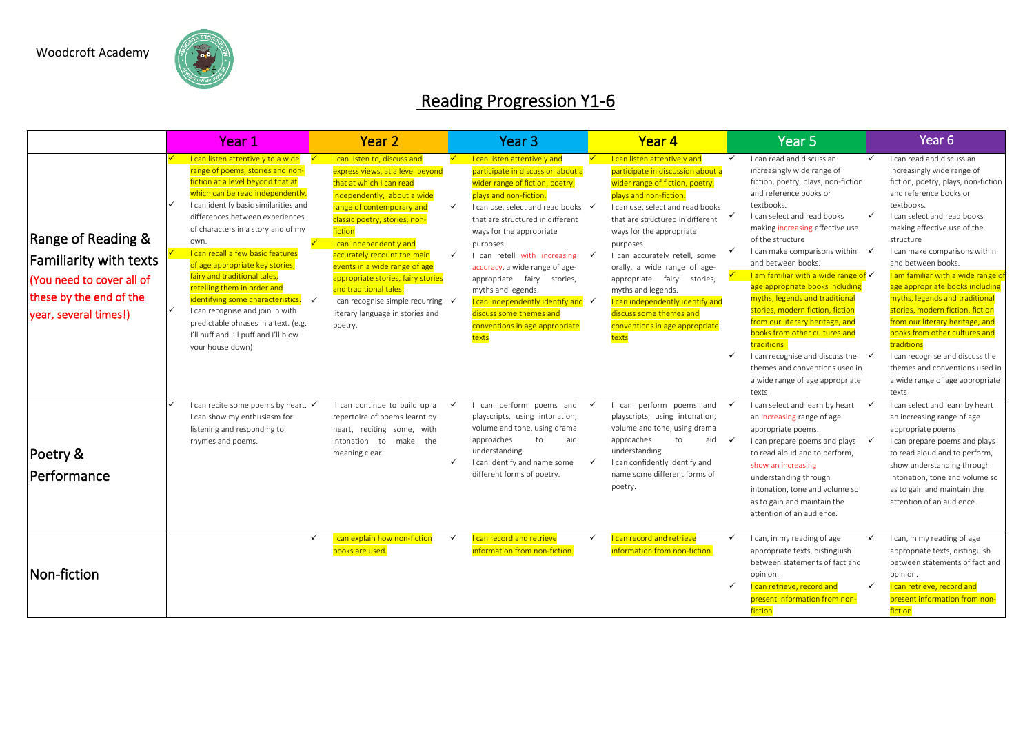

## Reading Progression Y1-6

|                                                                                                                                                |   | Year 1                                                                                                                                                                                                                                                                                                                                                                                                                                                                                                                                                                                                         | Year <sub>2</sub>                                                                                                                                                                                                                                                                                                                                                                                                                                    |                              | Year <sub>3</sub>                                                                                                                                                                                                                                                                                                                                                                                                                                                                             |              | Year 4                                                                                                                                                                                                                                                                                                                                                                                                                                                                          |                   | Year <sub>5</sub>                                                                                                                                                                                                                                                                                                                                                                                                                                                                                                                                                                                                                                                                     | Year <sub>6</sub>                                                                                                                                                                                                                                                                                                                                                                                                                                                                                                                                                                                                         |
|------------------------------------------------------------------------------------------------------------------------------------------------|---|----------------------------------------------------------------------------------------------------------------------------------------------------------------------------------------------------------------------------------------------------------------------------------------------------------------------------------------------------------------------------------------------------------------------------------------------------------------------------------------------------------------------------------------------------------------------------------------------------------------|------------------------------------------------------------------------------------------------------------------------------------------------------------------------------------------------------------------------------------------------------------------------------------------------------------------------------------------------------------------------------------------------------------------------------------------------------|------------------------------|-----------------------------------------------------------------------------------------------------------------------------------------------------------------------------------------------------------------------------------------------------------------------------------------------------------------------------------------------------------------------------------------------------------------------------------------------------------------------------------------------|--------------|---------------------------------------------------------------------------------------------------------------------------------------------------------------------------------------------------------------------------------------------------------------------------------------------------------------------------------------------------------------------------------------------------------------------------------------------------------------------------------|-------------------|---------------------------------------------------------------------------------------------------------------------------------------------------------------------------------------------------------------------------------------------------------------------------------------------------------------------------------------------------------------------------------------------------------------------------------------------------------------------------------------------------------------------------------------------------------------------------------------------------------------------------------------------------------------------------------------|---------------------------------------------------------------------------------------------------------------------------------------------------------------------------------------------------------------------------------------------------------------------------------------------------------------------------------------------------------------------------------------------------------------------------------------------------------------------------------------------------------------------------------------------------------------------------------------------------------------------------|
| <b>Range of Reading &amp;</b><br><b>Familiarity with texts</b><br>You need to cover all of<br>these by the end of the<br>year, several times!) | ✓ | I can listen attentively to a wide<br>range of poems, stories and non-<br>fiction at a level beyond that at<br>which can be read independently.<br>I can identify basic similarities and<br>differences between experiences<br>of characters in a story and of my<br>own.<br>I can recall a few basic features<br>of age appropriate key stories,<br>fairy and traditional tales,<br>retelling them in order and<br>identifying some characteristics.<br>$\checkmark$<br>I can recognise and join in with<br>predictable phrases in a text. (e.g.<br>I'll huff and I'll puff and I'll blow<br>your house down) | I can listen to, discuss and<br>express views, at a level beyond<br>that at which I can read<br>independently, about a wide<br>range of contemporary and<br>classic poetry, stories, non-<br>fiction<br>I can independently and<br>accurately recount the main<br>events in a wide range of age<br>appropriate stories, fairy stories<br>and traditional tales.<br>I can recognise simple recurring √<br>literary language in stories and<br>poetry. | $\checkmark$<br>$\checkmark$ | I can listen attentively and<br>participate in discussion about a<br>wider range of fiction, poetry,<br>plays and non-fiction.<br>I can use, select and read books √<br>that are structured in different<br>ways for the appropriate<br>purposes<br>I can retell with increasing<br>accuracy, a wide range of age-<br>appropriate fairy stories,<br>myths and legends.<br>I can independently identify and $\checkmark$<br>discuss some themes and<br>conventions in age appropriate<br>texts |              | I can listen attentively and<br>participate in discussion about a<br>wider range of fiction, poetry,<br>plays and non-fiction<br>I can use, select and read books<br>that are structured in different<br>ways for the appropriate<br>purposes<br>I can accurately retell, some<br>orally, a wide range of age-<br>appropriate fairy<br>stories,<br>myths and legends.<br>I can independently identify and<br>discuss some themes and<br>conventions in age appropriate<br>texts | ✓<br>$\checkmark$ | I can read and discuss an<br>increasingly wide range of<br>fiction, poetry, plays, non-fiction<br>and reference books or<br>textbooks.<br>$\checkmark$<br>I can select and read books<br>making increasing effective use<br>of the structure<br>I can make comparisons within<br>$\checkmark$<br>and between books.<br>I am familiar with a wide range of √<br>age appropriate books including<br>myths, legends and traditional<br>stories, modern fiction, fiction<br>from our literary heritage, and<br>books from other cultures and<br>traditions.<br>I can recognise and discuss the $\checkmark$<br>themes and conventions used in<br>a wide range of age appropriate<br>texts | I can read and discuss an<br>increasingly wide range of<br>fiction, poetry, plays, non-fiction<br>and reference books or<br>textbooks.<br>I can select and read books<br>making effective use of the<br>structure<br>I can make comparisons within<br>and between books.<br>I am familiar with a wide range o<br>age appropriate books including<br>myths, legends and traditional<br>stories, modern fiction, fiction<br>from our literary heritage, and<br>books from other cultures and<br>traditions<br>I can recognise and discuss the<br>themes and conventions used in<br>a wide range of age appropriate<br>texts |
| Poetry &<br>l Performance                                                                                                                      |   | I can recite some poems by heart. V<br>I can show my enthusiasm for<br>listening and responding to<br>rhymes and poems.                                                                                                                                                                                                                                                                                                                                                                                                                                                                                        | I can continue to build up a<br>repertoire of poems learnt by<br>heart, reciting some, with<br>intonation to make the<br>meaning clear.                                                                                                                                                                                                                                                                                                              | ✓<br>✓                       | can perform poems and<br>playscripts, using intonation,<br>volume and tone, using drama<br>approaches<br>to<br>aid<br>understanding.<br>I can identify and name some<br>different forms of poetry.                                                                                                                                                                                                                                                                                            | ✓            | can perform poems and<br>playscripts, using intonation,<br>volume and tone, using drama<br>approaches<br>to<br>aid $\checkmark$<br>understanding.<br>I can confidently identify and<br>name some different forms of<br>poetry.                                                                                                                                                                                                                                                  |                   | I can select and learn by heart<br>an increasing range of age<br>appropriate poems.<br>I can prepare poems and plays<br>$\checkmark$<br>to read aloud and to perform,<br>show an increasing<br>understanding through<br>intonation, tone and volume so<br>as to gain and maintain the<br>attention of an audience.                                                                                                                                                                                                                                                                                                                                                                    | I can select and learn by heart<br>an increasing range of age<br>appropriate poems.<br>I can prepare poems and plays<br>to read aloud and to perform,<br>show understanding through<br>intonation, tone and volume so<br>as to gain and maintain the<br>attention of an audience.                                                                                                                                                                                                                                                                                                                                         |
| Non-fiction                                                                                                                                    |   | $\checkmark$                                                                                                                                                                                                                                                                                                                                                                                                                                                                                                                                                                                                   | I can explain how non-fiction<br>books are used.                                                                                                                                                                                                                                                                                                                                                                                                     | $\checkmark$                 | I can record and retrieve<br>information from non-fiction.                                                                                                                                                                                                                                                                                                                                                                                                                                    | $\checkmark$ | I can record and retrieve<br>information from non-fiction.                                                                                                                                                                                                                                                                                                                                                                                                                      | $\checkmark$<br>✓ | I can, in my reading of age<br>$\checkmark$<br>appropriate texts, distinguish<br>between statements of fact and<br>opinion.<br>I can retrieve, record and<br>$\checkmark$<br>present information from non-<br>fiction                                                                                                                                                                                                                                                                                                                                                                                                                                                                 | I can, in my reading of age<br>appropriate texts, distinguish<br>between statements of fact and<br>opinion.<br>I can retrieve, record and<br>present information from non-<br>fiction                                                                                                                                                                                                                                                                                                                                                                                                                                     |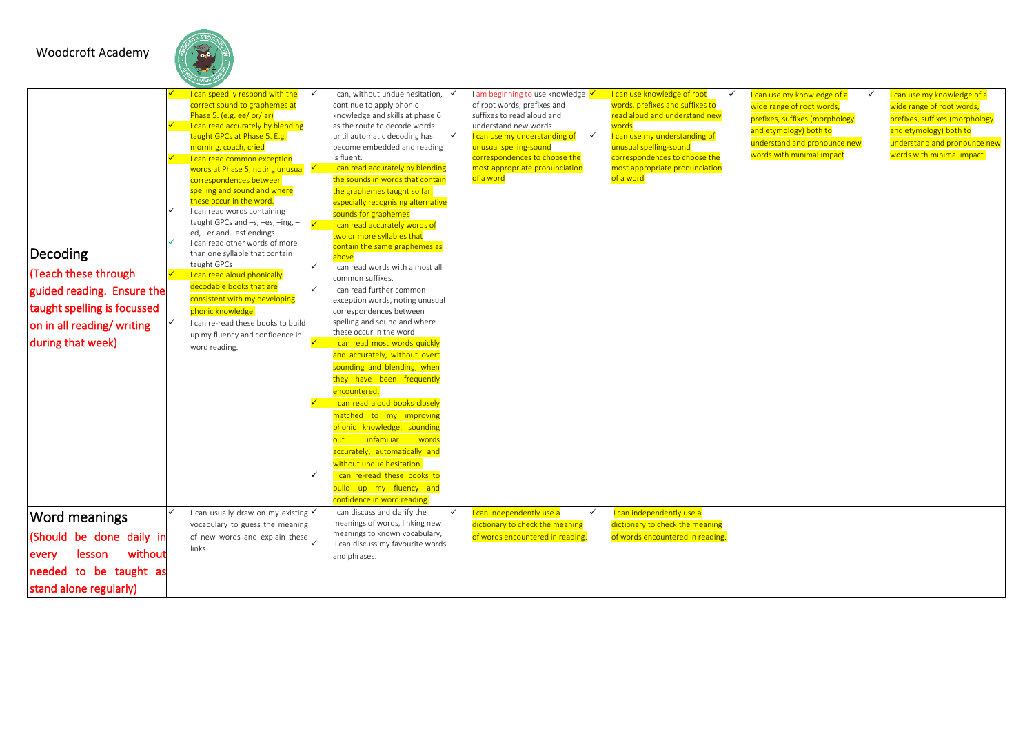### Woodcroft Academy

| Decoding<br>(Teach these through<br>guided reading. Ensure the<br>taught spelling is focussed<br>on in all reading/writing<br>during that week) | I can speedily respond with the<br>correct sound to graphemes at<br>Phase 5. (e.g. ee/ or/ ar)<br>I can read accurately by blending<br>taught GPCs at Phase 5. E.g.<br>morning, coach, cried<br>I can read common exception<br>words at Phase 5, noting unusual $\sqrt{ }$<br>correspondences between<br>spelling and sound and where<br>these occur in the word.<br>I can read words containing<br>taught GPCs and $-s$ , $-es$ , $-ing$ , $-$<br>ed, -er and -est endings.<br>I can read other words of more<br>than one syllable that contain<br>taught GPCs<br>I can read aloud phonically<br>decodable books that are<br>consistent with my developing<br>phonic knowledge.<br>I can re-read these books to build<br>up my fluency and confidence in<br>word reading. | $\checkmark$<br>$\overline{\mathcal{S}}$<br>$\checkmark$<br>$\checkmark$<br>$\checkmark$ | I can, without undue hesitation,<br>continue to apply phonic<br>knowledge and skills at phase 6<br>as the route to decode words<br>until automatic decoding has<br>$\checkmark$<br>become embedded and reading<br>is fluent.<br>I can read accurately by blending<br>the sounds in words that contain<br>the graphemes taught so far,<br>especially recognising alternative<br>sounds for graphemes<br>I can read accurately words of<br>two or more syllables that<br>contain the same graphemes as<br>above<br>I can read words with almost all<br>common suffixes.<br>I can read further common<br>exception words, noting unusual<br>correspondences between<br>spelling and sound and where<br>these occur in the word<br>I can read most words quickly<br>and accurately, without overt<br>sounding and blending, when<br>they have been frequently<br>encountered.<br>I can read aloud books closely<br>matched to my improving<br>phonic knowledge, sounding<br>out unfamiliar words<br>accurately, automatically and<br>without undue hesitation.<br>I can re-read these books to<br>build up my fluency and<br>confidence in word reading | I am beginning to use knowledge V<br>of root words, prefixes and<br>suffixes to read aloud and<br>understand new words<br>I can use my understanding of<br>$\checkmark$<br>unusual spelling-sound<br>correspondences to choose the<br>most appropriate pronunciation<br>of a word | I can use knowledge of root<br>$\checkmark$<br>words, prefixes and suffixes to<br>read aloud and understand new<br>words<br>can use my understanding of<br>unusual spelling-sound<br>correspondences to choose the<br>most appropriate pronunciation<br>of a word | I can use my knowledge of a<br>✓<br>wide range of root words,<br>prefixes, suffixes (morphology<br>and etymology) both to<br>understand and pronounce new<br>words with minimal impact | I can use my knowledge of a<br>wide range of root words,<br>prefixes, suffixes (morphology<br>and etymology) both to<br>understand and pronounce new<br>words with minimal impact. |
|-------------------------------------------------------------------------------------------------------------------------------------------------|----------------------------------------------------------------------------------------------------------------------------------------------------------------------------------------------------------------------------------------------------------------------------------------------------------------------------------------------------------------------------------------------------------------------------------------------------------------------------------------------------------------------------------------------------------------------------------------------------------------------------------------------------------------------------------------------------------------------------------------------------------------------------|------------------------------------------------------------------------------------------|-----------------------------------------------------------------------------------------------------------------------------------------------------------------------------------------------------------------------------------------------------------------------------------------------------------------------------------------------------------------------------------------------------------------------------------------------------------------------------------------------------------------------------------------------------------------------------------------------------------------------------------------------------------------------------------------------------------------------------------------------------------------------------------------------------------------------------------------------------------------------------------------------------------------------------------------------------------------------------------------------------------------------------------------------------------------------------------------------------------------------------------------------------|-----------------------------------------------------------------------------------------------------------------------------------------------------------------------------------------------------------------------------------------------------------------------------------|-------------------------------------------------------------------------------------------------------------------------------------------------------------------------------------------------------------------------------------------------------------------|----------------------------------------------------------------------------------------------------------------------------------------------------------------------------------------|------------------------------------------------------------------------------------------------------------------------------------------------------------------------------------|
| Word meanings<br>(Should be done daily in<br>without<br>lesson<br>every                                                                         | I can usually draw on my existing V<br>vocabulary to guess the meaning<br>of new words and explain these<br>links.                                                                                                                                                                                                                                                                                                                                                                                                                                                                                                                                                                                                                                                         |                                                                                          | I can discuss and clarify the<br>$\checkmark$<br>meanings of words, linking new<br>meanings to known vocabulary,<br>I can discuss my favourite words<br>and phrases.                                                                                                                                                                                                                                                                                                                                                                                                                                                                                                                                                                                                                                                                                                                                                                                                                                                                                                                                                                                | I can independently use a<br>$\checkmark$<br>dictionary to check the meaning<br>of words encountered in reading.                                                                                                                                                                  | I can independently use a<br>dictionary to check the meaning<br>of words encountered in reading.                                                                                                                                                                  |                                                                                                                                                                                        |                                                                                                                                                                                    |
| needed to be taught as<br>stand alone regularly)                                                                                                |                                                                                                                                                                                                                                                                                                                                                                                                                                                                                                                                                                                                                                                                                                                                                                            |                                                                                          |                                                                                                                                                                                                                                                                                                                                                                                                                                                                                                                                                                                                                                                                                                                                                                                                                                                                                                                                                                                                                                                                                                                                                     |                                                                                                                                                                                                                                                                                   |                                                                                                                                                                                                                                                                   |                                                                                                                                                                                        |                                                                                                                                                                                    |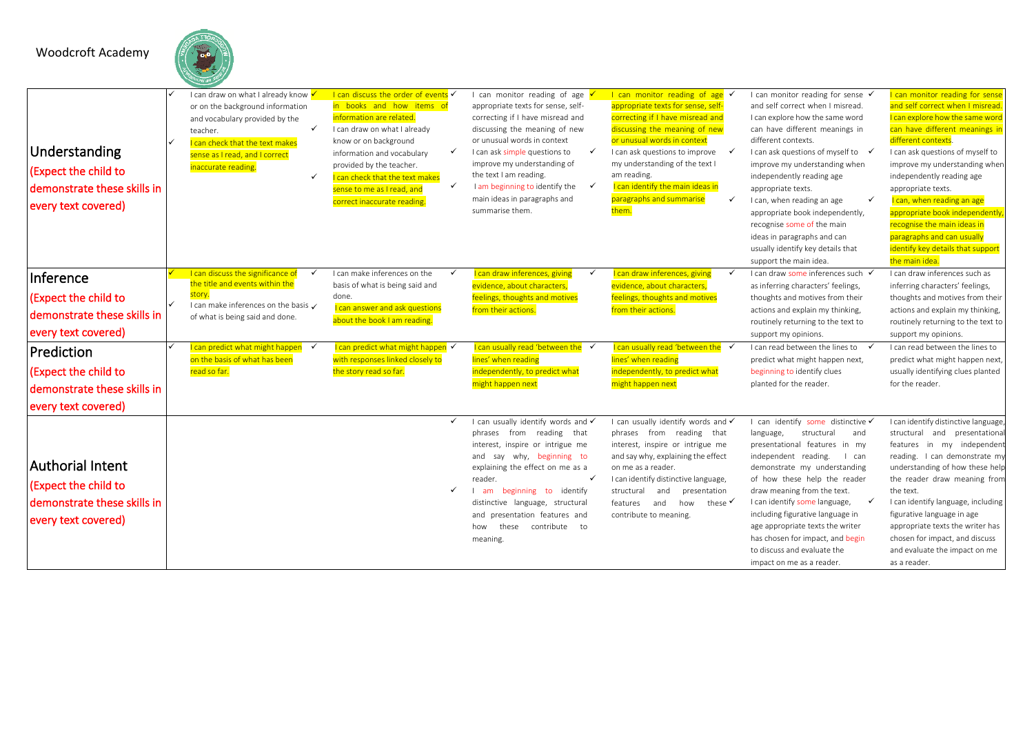Woodcroft Academy

| Understanding<br>(Expect the child to<br>demonstrate these skills in<br>every text covered)                                                                  | I can draw on what I already know √<br>or on the background information<br>and vocabulary provided by the<br>$\checkmark$<br>teacher.<br>I can check that the text makes<br>sense as I read, and I correct<br>inaccurate reading.<br>$\checkmark$ | I can discuss the order of events V<br>in books and how items of<br>information are related.<br>I can draw on what I already<br>know or on background<br>information and vocabulary<br>provided by the teacher.<br>I can check that the text makes<br>sense to me as I read, and<br>correct inaccurate reading. | ✓<br>$\checkmark$ | I can monitor reading of age $\overline{\phantom{a}}$<br>appropriate texts for sense, self-<br>correcting if I have misread and<br>discussing the meaning of new<br>or unusual words in context<br>I can ask simple questions to<br>improve my understanding of<br>the text I am reading.<br>I am beginning to identify the $\checkmark$<br>main ideas in paragraphs and<br>summarise them. | I can monitor reading of age $\checkmark$<br>appropriate texts for sense, self-<br>correcting if I have misread and<br>discussing the meaning of new<br>or unusual words in context<br>I can ask questions to improve<br>my understanding of the text I<br>am reading.<br>I can identify the main ideas in<br>paragraphs and summarise<br>$\checkmark$<br>them. | I can monitor reading for sense ✔<br>and self correct when I misread.<br>I can explore how the same word<br>can have different meanings in<br>different contexts.<br>I can ask questions of myself to √<br>improve my understanding when<br>independently reading age<br>appropriate texts.<br>✓<br>I can, when reading an age<br>appropriate book independently,<br>recognise some of the main<br>ideas in paragraphs and can<br>usually identify key details that<br>support the main idea. | <b>can monitor reading for sense</b><br>and self correct when I misread<br>I can explore how the same word<br>can have different meanings ir<br>different contexts.<br>I can ask questions of myself to<br>improve my understanding when<br>independently reading age<br>appropriate texts.<br>I can, when reading an age<br>appropriate book independently<br>recognise the main ideas in<br>paragraphs and can usually<br>identify key details that support<br>the main idea. |
|--------------------------------------------------------------------------------------------------------------------------------------------------------------|---------------------------------------------------------------------------------------------------------------------------------------------------------------------------------------------------------------------------------------------------|-----------------------------------------------------------------------------------------------------------------------------------------------------------------------------------------------------------------------------------------------------------------------------------------------------------------|-------------------|---------------------------------------------------------------------------------------------------------------------------------------------------------------------------------------------------------------------------------------------------------------------------------------------------------------------------------------------------------------------------------------------|-----------------------------------------------------------------------------------------------------------------------------------------------------------------------------------------------------------------------------------------------------------------------------------------------------------------------------------------------------------------|-----------------------------------------------------------------------------------------------------------------------------------------------------------------------------------------------------------------------------------------------------------------------------------------------------------------------------------------------------------------------------------------------------------------------------------------------------------------------------------------------|---------------------------------------------------------------------------------------------------------------------------------------------------------------------------------------------------------------------------------------------------------------------------------------------------------------------------------------------------------------------------------------------------------------------------------------------------------------------------------|
| Inference<br>(Expect the child to<br>demonstrate these skills in<br>every text covered)<br>Prediction<br>(Expect the child to<br>demonstrate these skills in | I can discuss the significance of<br>✓<br>the title and events within the<br>story.<br>I can make inferences on the basis /<br>of what is being said and done.<br>can predict what might happen<br>on the basis of what has been<br>read so far.  | I can make inferences on the<br>basis of what is being said and<br>done.<br>I can answer and ask questions<br>about the book I am reading.<br>I can predict what might happen √<br>with responses linked closely to<br>the story read so far.                                                                   | $\checkmark$      | I can draw inferences, giving<br>evidence, about characters,<br>feelings, thoughts and motives<br>from their actions.<br>I can usually read 'between the<br>lines' when reading<br>independently, to predict what<br>might happen next                                                                                                                                                      | I can draw inferences, giving<br>$\checkmark$<br>evidence, about characters,<br>feelings, thoughts and motives<br>from their actions.<br>I can usually read 'between the<br>$\checkmark$<br>lines' when reading<br>independently, to predict what<br>might happen next                                                                                          | I can draw some inferences such √<br>as inferring characters' feelings,<br>thoughts and motives from their<br>actions and explain my thinking,<br>routinely returning to the text to<br>support my opinions.<br>I can read between the lines to √<br>predict what might happen next,<br>beginning to identify clues<br>planted for the reader.                                                                                                                                                | I can draw inferences such as<br>inferring characters' feelings,<br>thoughts and motives from their<br>actions and explain my thinking,<br>routinely returning to the text to<br>support my opinions.<br>I can read between the lines to<br>predict what might happen next,<br>usually identifying clues planted<br>for the reader.                                                                                                                                             |
| every text covered)<br><b>Authorial Intent</b><br>(Expect the child to<br>demonstrate these skills in<br>every text covered)                                 |                                                                                                                                                                                                                                                   |                                                                                                                                                                                                                                                                                                                 | $\checkmark$      | I can usually identify words and v<br>from reading that<br>phrases<br>interest, inspire or intrigue me<br>and say why, beginning to<br>explaining the effect on me as a<br>reader.<br>beginning to identify<br>am<br>distinctive language, structural<br>and presentation features and<br>these<br>contribute to<br>how<br>meaning.                                                         | I can usually identify words and v<br>phrases from reading that<br>interest, inspire or intrigue me<br>and say why, explaining the effect<br>on me as a reader.<br>I can identify distinctive language,<br>presentation<br>structural<br>and<br>these ✔<br>and<br>features<br>how<br>contribute to meaning.                                                     | I can identify some distinctive √<br>language,<br>structural<br>and<br>presentational features in my<br>independent reading.<br>l can<br>demonstrate my understanding<br>of how these help the reader<br>draw meaning from the text.<br>I can identify some language,<br>✓<br>including figurative language in<br>age appropriate texts the writer<br>has chosen for impact, and begin<br>to discuss and evaluate the<br>impact on me as a reader.                                            | I can identify distinctive language<br>structural and presentational<br>features in my independent<br>reading. I can demonstrate my<br>understanding of how these help<br>the reader draw meaning from<br>the text.<br>I can identify language, including<br>figurative language in age<br>appropriate texts the writer has<br>chosen for impact, and discuss<br>and evaluate the impact on me<br>as a reader.                                                                  |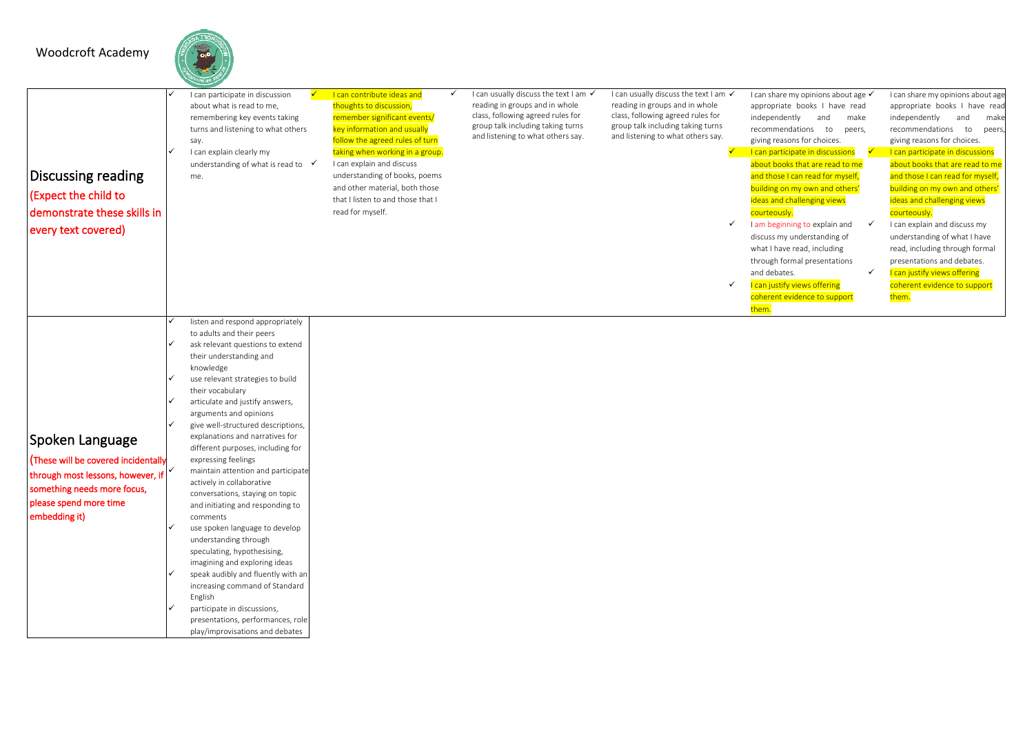### Woodcroft Academy

Spoken Language (These will be covered incidentally through most lessons, however, if something needs more focus, please spend more time embedding it)



articulate and justify answers, arguments and opinions ✓ give well-structured descriptions, explanations and narratives for different purposes, including for

> maintain attention and participate actively in collaborative conversations, staying on topic and initiating and responding to

> use spoken language to develop understanding through speculating, hypothesising, imagining and exploring ideas speak audibly and fluently with an increasing command of Standard

> participate in discussions, presentations, performances, role play/improvisations and debates

expressing feelings

comments

English

| Discussing reading<br>(Expect the child to<br>demonstrate these skills in<br>every text covered) | I can participate in discussion<br>about what is read to me.<br>remembering key events taking<br>say.<br>I can explain clearly my<br>me. | turns and listening to what others<br>understanding of what is read to v | I can contribute ideas and<br>thoughts to discussion,<br>remember significant events/<br>key information and usually<br>follow the agreed rules of turn<br>taking when working in a group.<br>I can explain and discuss<br>understanding of books, poems<br>and other material, both those<br>that I listen to and those that I<br>read for myself. | I can usually discuss the text I am √<br>reading in groups and in whole<br>class, following agreed rules for<br>group talk including taking turns<br>and listening to what others say. | I can usually discuss the text I am √<br>reading in groups and in whole<br>class, following agreed rules for<br>group talk including taking turns<br>and listening to what others say. | I can share my opinions about age √<br>appropriate books I have read<br>independently<br>make<br>and<br>recommendations<br>to<br>peers,<br>giving reasons for choices.<br>I can participate in discussions<br>about books that are read to me<br>and those I can read for myself,<br>building on my own and others'<br>ideas and challenging views<br>courteously.<br>I am beginning to explain and<br>discuss my understanding of<br>what I have read, including<br>through formal presentations<br>and debates.<br>I can justify views offering<br>coherent evidence to support<br>them. | I can share my opinions about age<br>appropriate books I have read<br>independently<br>and<br>make<br>recommendations to<br>peers.<br>giving reasons for choices.<br>I can participate in discussions<br>about books that are read to me<br>and those I can read for myself,<br>building on my own and others'<br>ideas and challenging views<br>courteously.<br>I can explain and discuss my<br>understanding of what I have<br>read, including through formal<br>presentations and debates.<br>I can justify views offering<br>coherent evidence to support<br>them. |
|--------------------------------------------------------------------------------------------------|------------------------------------------------------------------------------------------------------------------------------------------|--------------------------------------------------------------------------|-----------------------------------------------------------------------------------------------------------------------------------------------------------------------------------------------------------------------------------------------------------------------------------------------------------------------------------------------------|----------------------------------------------------------------------------------------------------------------------------------------------------------------------------------------|----------------------------------------------------------------------------------------------------------------------------------------------------------------------------------------|--------------------------------------------------------------------------------------------------------------------------------------------------------------------------------------------------------------------------------------------------------------------------------------------------------------------------------------------------------------------------------------------------------------------------------------------------------------------------------------------------------------------------------------------------------------------------------------------|------------------------------------------------------------------------------------------------------------------------------------------------------------------------------------------------------------------------------------------------------------------------------------------------------------------------------------------------------------------------------------------------------------------------------------------------------------------------------------------------------------------------------------------------------------------------|
|                                                                                                  | to adults and their peers<br>their understanding and<br>knowledge<br>use relevant strategies to build<br>their vocabulary                | listen and respond appropriately<br>ask relevant questions to extend     |                                                                                                                                                                                                                                                                                                                                                     |                                                                                                                                                                                        |                                                                                                                                                                                        |                                                                                                                                                                                                                                                                                                                                                                                                                                                                                                                                                                                            |                                                                                                                                                                                                                                                                                                                                                                                                                                                                                                                                                                        |